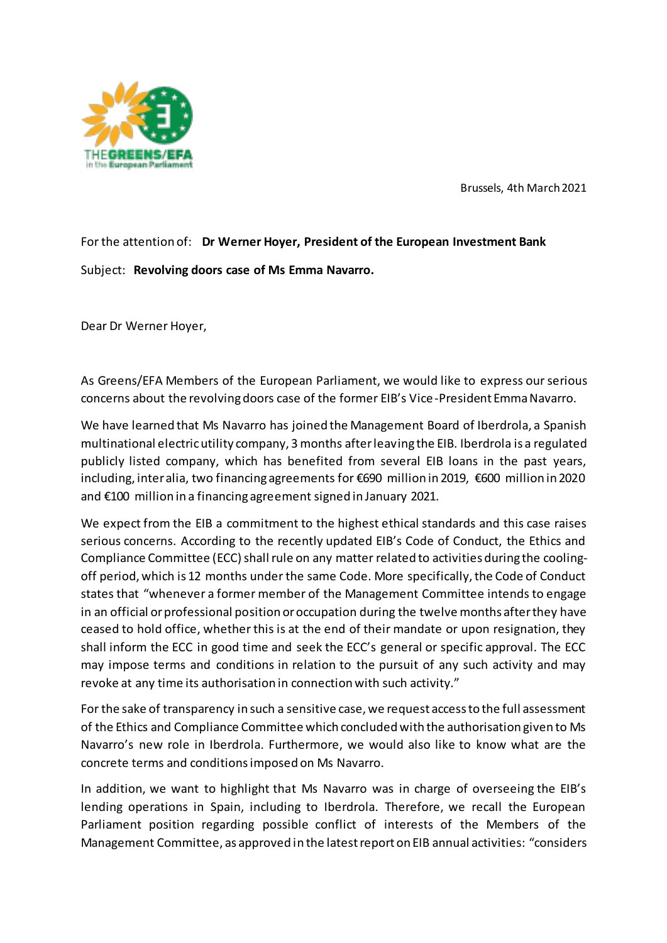

Brussels, 4th March 2021

For the attention of: **Dr Werner Hoyer, President of the European Investment Bank** Subject: **Revolving doors case of Ms Emma Navarro.**

Dear Dr Werner Hoyer,

As Greens/EFA Members of the European Parliament, we would like to express our serious concerns about the revolving doors case of the former EIB's Vice-President Emma Navarro.

We have learned that Ms Navarro has joined the Management Board of Iberdrola, a Spanish multinational electric utility company, 3 months after leaving the EIB. Iberdrola is a regulated publicly listed company, which has benefited from several EIB loans in the past years, including, inter alia, two financing agreements for €690 million in 2019, €600 million in 2020 and €100 million in a financing agreement signed in January 2021.

We expect from the EIB a commitment to the highest ethical standards and this case raises serious concerns. According to the recently updated EIB's Code of Conduct, the Ethics and Compliance Committee (ECC) shall rule on any matter related to activities during the coolingoff period, which is 12 months under the same Code. More specifically, the Code of Conduct states that "whenever a former member of the Management Committee intends to engage in an official or professional position or occupation during the twelve months after they have ceased to hold office, whether this is at the end of their mandate or upon resignation, they shall inform the ECC in good time and seek the ECC's general or specific approval. The ECC may impose terms and conditions in relation to the pursuit of any such activity and may revoke at any time its authorisation in connection with such activity."

For the sake of transparency in such a sensitive case, we request access to the full assessment of the Ethics and Compliance Committee which concluded with the authorisation given to Ms Navarro's new role in Iberdrola. Furthermore, we would also like to know what are the concrete terms and conditions imposed on Ms Navarro.

In addition, we want to highlight that Ms Navarro was in charge of overseeing the EIB's lending operations in Spain, including to Iberdrola. Therefore, we recall the European Parliament position regarding possible conflict of interests of the Members of the Management Committee, as approved in the latest report on EIB annual activities: "considers